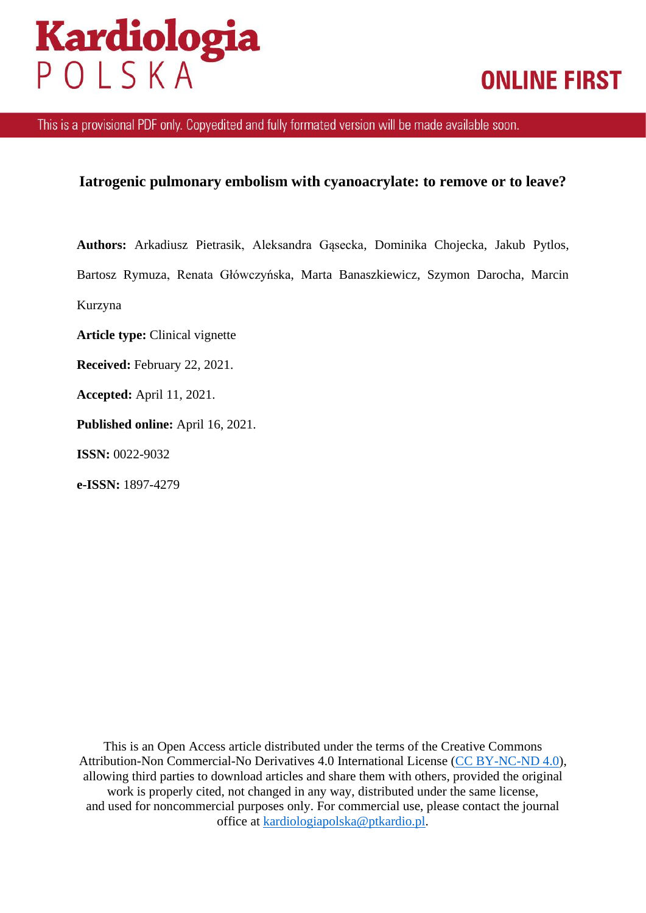# **Kardiologia**<br>POLSKA

## **ONLINE FIRST**

This is a provisional PDF only. Copyedited and fully formated version will be made available soon.

### **Iatrogenic pulmonary embolism with cyanoacrylate: to remove or to leave?**

**Authors:** Arkadiusz Pietrasik, Aleksandra Gąsecka, Dominika Chojecka, Jakub Pytlos, Bartosz Rymuza, Renata Główczyńska, Marta Banaszkiewicz, Szymon Darocha, Marcin Kurzyna

**Article type:** Clinical vignette

**Received:** February 22, 2021.

**Accepted:** April 11, 2021.

**Published online:** April 16, 2021.

**ISSN:** 0022-9032

**e-ISSN:** 1897-4279

This is an Open Access article distributed under the terms of the Creative Commons Attribution-Non Commercial-No Derivatives 4.0 International License [\(CC BY-NC-ND 4.0\)](https://creativecommons.org/licenses/by-nc-nd/4.0/deed), allowing third parties to download articles and share them with others, provided the original work is properly cited, not changed in any way, distributed under the same license, and used for noncommercial purposes only. For commercial use, please contact the journal office at [kardiologiapolska@ptkardio.pl.](mailto:kardiologiapolska@ptkardio.pl)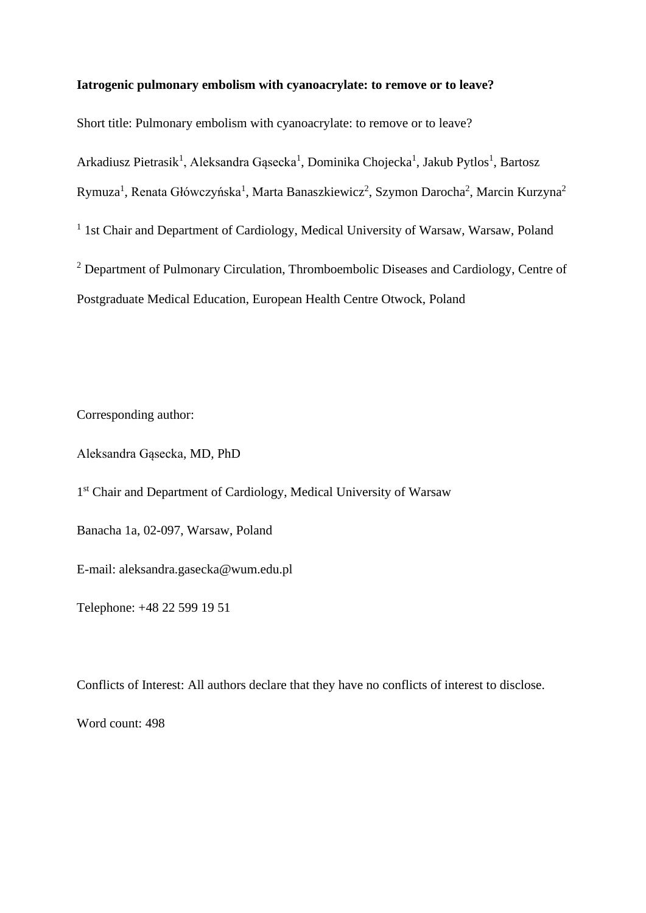#### **Iatrogenic pulmonary embolism with cyanoacrylate: to remove or to leave?**

Short title: Pulmonary embolism with cyanoacrylate: to remove or to leave?

Arkadiusz Pietrasik<sup>1</sup>, Aleksandra Gąsecka<sup>1</sup>, Dominika Chojecka<sup>1</sup>, Jakub Pytlos<sup>1</sup>, Bartosz

Rymuza<sup>1</sup>, Renata Główczyńska<sup>1</sup>, Marta Banaszkiewicz<sup>2</sup>, Szymon Darocha<sup>2</sup>, Marcin Kurzyna<sup>2</sup>

<sup>1</sup> 1st Chair and Department of Cardiology, Medical University of Warsaw, Warsaw, Poland

<sup>2</sup> Department of Pulmonary Circulation, Thromboembolic Diseases and Cardiology, Centre of Postgraduate Medical Education, European Health Centre Otwock, Poland

Corresponding author:

Aleksandra Gąsecka, MD, PhD

1<sup>st</sup> Chair and Department of Cardiology, Medical University of Warsaw

Banacha 1a, 02-097, Warsaw, Poland

E-mail: aleksandra.gasecka@wum.edu.pl

Telephone: +48 22 599 19 51

Conflicts of Interest: All authors declare that they have no conflicts of interest to disclose.

Word count: 498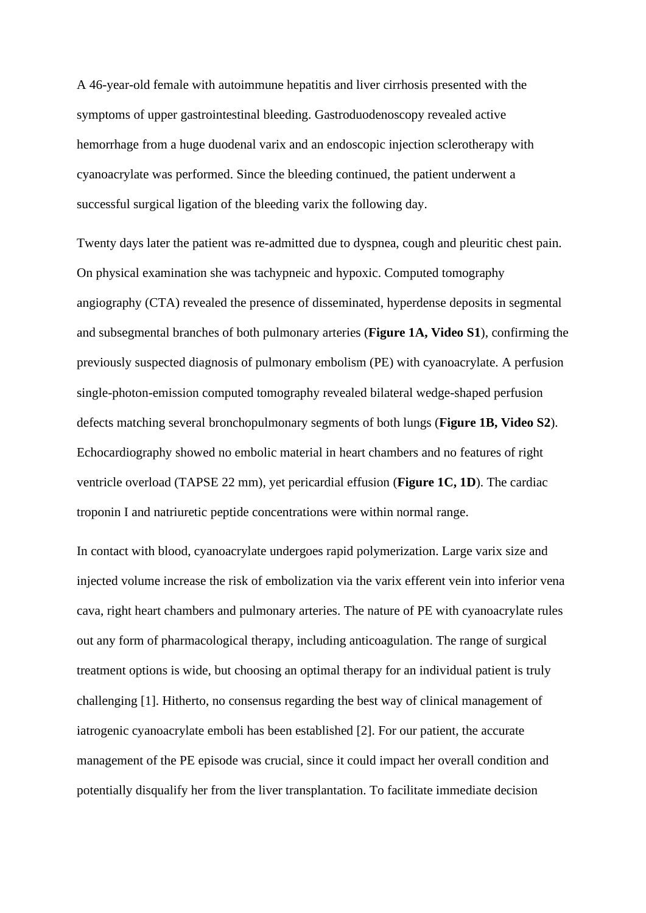A 46-year-old female with autoimmune hepatitis and liver cirrhosis presented with the symptoms of upper gastrointestinal bleeding. Gastroduodenoscopy revealed active hemorrhage from a huge duodenal varix and an endoscopic injection sclerotherapy with cyanoacrylate was performed. Since the bleeding continued, the patient underwent a successful surgical ligation of the bleeding varix the following day.

Twenty days later the patient was re-admitted due to dyspnea, cough and pleuritic chest pain. On physical examination she was tachypneic and hypoxic. Computed tomography angiography (CTA) revealed the presence of disseminated, hyperdense deposits in segmental and subsegmental branches of both pulmonary arteries (**Figure 1A, Video S1**), confirming the previously suspected diagnosis of pulmonary embolism (PE) with cyanoacrylate. A perfusion single-photon-emission computed tomography revealed bilateral wedge-shaped perfusion defects matching several bronchopulmonary segments of both lungs (**Figure 1B, Video S2**). Echocardiography showed no embolic material in heart chambers and no features of right ventricle overload (TAPSE 22 mm), yet pericardial effusion (**Figure 1C, 1D**). The cardiac troponin I and natriuretic peptide concentrations were within normal range.

In contact with blood, cyanoacrylate undergoes rapid polymerization. Large varix size and injected volume increase the risk of embolization via the varix efferent vein into inferior vena cava, right heart chambers and pulmonary arteries. The nature of PE with cyanoacrylate rules out any form of pharmacological therapy, including anticoagulation. The range of surgical treatment options is wide, but choosing an optimal therapy for an individual patient is truly challenging [1]. Hitherto, no consensus regarding the best way of clinical management of iatrogenic cyanoacrylate emboli has been established [2]. For our patient, the accurate management of the PE episode was crucial, since it could impact her overall condition and potentially disqualify her from the liver transplantation. To facilitate immediate decision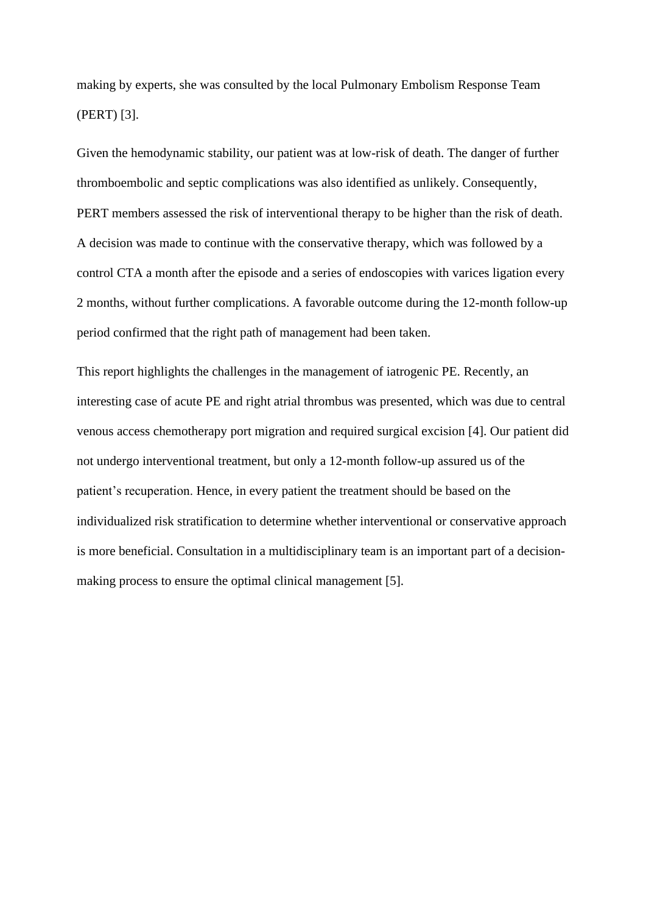making by experts, she was consulted by the local Pulmonary Embolism Response Team (PERT) [3].

Given the hemodynamic stability, our patient was at low-risk of death. The danger of further thromboembolic and septic complications was also identified as unlikely. Consequently, PERT members assessed the risk of interventional therapy to be higher than the risk of death. A decision was made to continue with the conservative therapy, which was followed by a control CTA a month after the episode and a series of endoscopies with varices ligation every 2 months, without further complications. A favorable outcome during the 12-month follow-up period confirmed that the right path of management had been taken.

This report highlights the challenges in the management of iatrogenic PE. Recently, an interesting case of acute PE and right atrial thrombus was presented, which was due to central venous access chemotherapy port migration and required surgical excision [4]. Our patient did not undergo interventional treatment, but only a 12-month follow-up assured us of the patient's recuperation. Hence, in every patient the treatment should be based on the individualized risk stratification to determine whether interventional or conservative approach is more beneficial. Consultation in a multidisciplinary team is an important part of a decisionmaking process to ensure the optimal clinical management [5].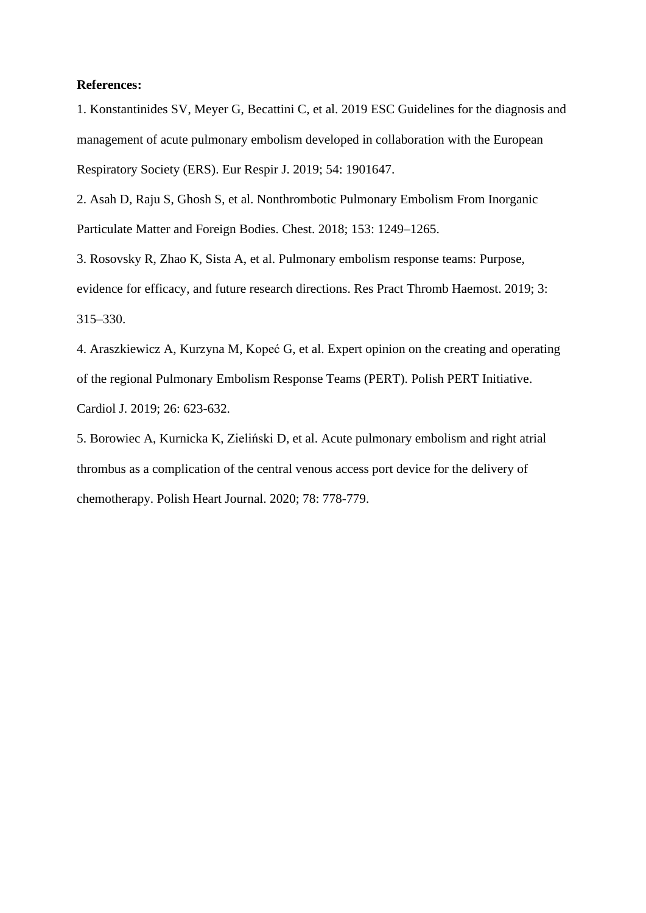#### **References:**

1. Konstantinides SV, Meyer G, Becattini C, et al. 2019 ESC Guidelines for the diagnosis and management of acute pulmonary embolism developed in collaboration with the European Respiratory Society (ERS). Eur Respir J. 2019; 54: 1901647.

2. Asah D, Raju S, Ghosh S, et al. Nonthrombotic Pulmonary Embolism From Inorganic Particulate Matter and Foreign Bodies. Chest. 2018; 153: 1249–1265.

3. Rosovsky R, Zhao K, Sista A, et al. Pulmonary embolism response teams: Purpose, evidence for efficacy, and future research directions. Res Pract Thromb Haemost. 2019; 3: 315–330.

4. Araszkiewicz A, Kurzyna M, Kopeć G, et al. Expert opinion on the creating and operating of the regional Pulmonary Embolism Response Teams (PERT). Polish PERT Initiative. Cardiol J. 2019; 26: 623-632.

5. Borowiec A, Kurnicka K, Zieliński D, et al. Acute pulmonary embolism and right atrial thrombus as a complication of the central venous access port device for the delivery of chemotherapy. Polish Heart Journal. 2020; 78: 778-779.